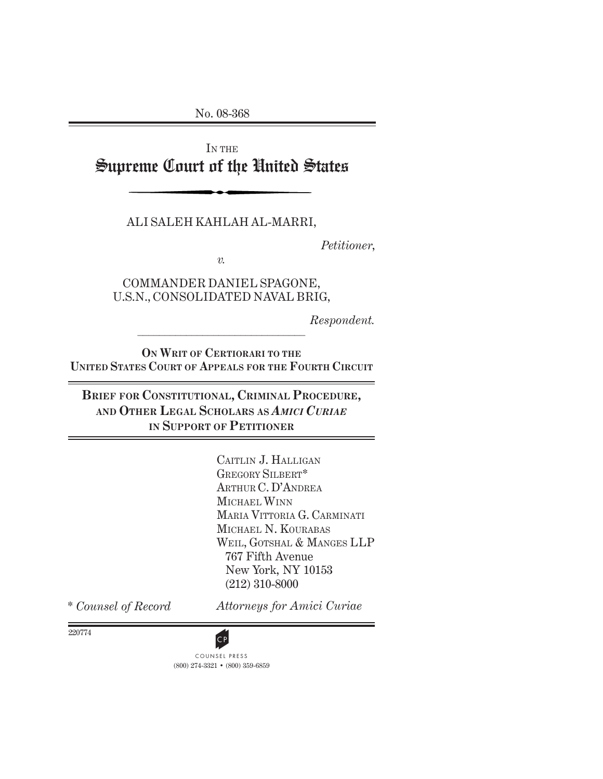No. 08-368

IN THE Supreme Court of the United States

ALI SALEH KAHLAH AL-MARRI,

*Petitioner*,

*v.*

COMMANDER DANIEL SPAGONE, U.S.N., CONSOLIDATED NAVAL BRIG,

*Respondent.*

**ON WRIT OF CERTIORARI TO THE UNITED STATES COURT OF APPEALS FOR THE FOURTH CIRCUIT**

 $\mathcal{L}=\{1,2,3,4,5\}$ 

**BRIEF FOR CONSTITUTIONAL, CRIMINAL PROCEDURE, AND OTHER LEGAL SCHOLARS AS** *AMICI CURIAE* **IN SUPPORT OF PETITIONER**

> CAITLIN J. HALLIGAN GREGORY SILBERT\* ARTHUR C. D'ANDREA MICHAEL WINN MARIA VITTORIA G. CARMINATI MICHAEL N. KOURABAS WEIL, GOTSHAL & MANGES LLP 767 Fifth Avenue New York, NY 10153 (212) 310-8000

\* *Counsel of Record*

*Attorneys for Amici Curiae*

220774

(800) 274-3321 • (800) 359-6859 **CP**<br>COUNSEL PRESS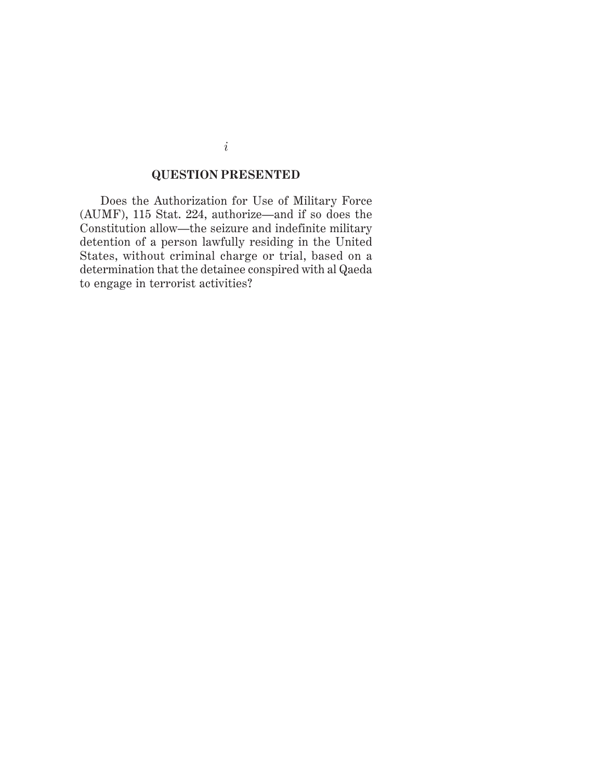## **QUESTION PRESENTED**

Does the Authorization for Use of Military Force (AUMF), 115 Stat. 224, authorize—and if so does the Constitution allow—the seizure and indefinite military detention of a person lawfully residing in the United States, without criminal charge or trial, based on a determination that the detainee conspired with al Qaeda to engage in terrorist activities?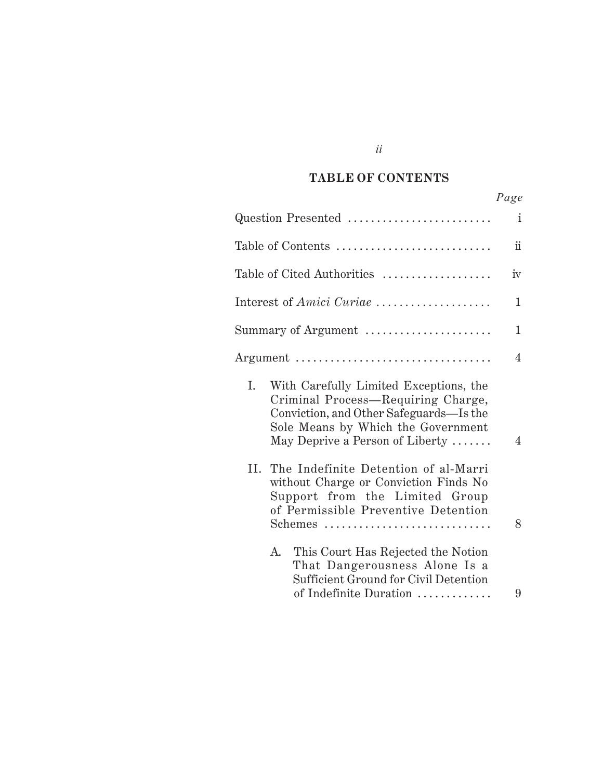#### *Cited Authorities* **TABLE OF CONTENTS**

*ii*

|                                                                                                                                                                                                        | Page            |
|--------------------------------------------------------------------------------------------------------------------------------------------------------------------------------------------------------|-----------------|
| Question Presented                                                                                                                                                                                     | i               |
| Table of Contents                                                                                                                                                                                      | $\ddot{\rm ii}$ |
| Table of Cited Authorities                                                                                                                                                                             | iv              |
| Interest of Amici Curiae                                                                                                                                                                               | 1               |
| Summary of Argument                                                                                                                                                                                    | 1               |
| Argument                                                                                                                                                                                               | 4               |
| I.<br>With Carefully Limited Exceptions, the<br>Criminal Process—Requiring Charge,<br>Conviction, and Other Safeguards—Is the<br>Sole Means by Which the Government<br>May Deprive a Person of Liberty | 4               |
| II. The Indefinite Detention of al-Marri<br>without Charge or Conviction Finds No<br>Support from the Limited Group<br>of Permissible Preventive Detention                                             |                 |
| Schemes                                                                                                                                                                                                | 8               |

| A. | This Court Has Rejected the Notion    |   |
|----|---------------------------------------|---|
|    | That Dangerousness Alone Is a         |   |
|    | Sufficient Ground for Civil Detention |   |
|    | of Indefinite Duration                | 9 |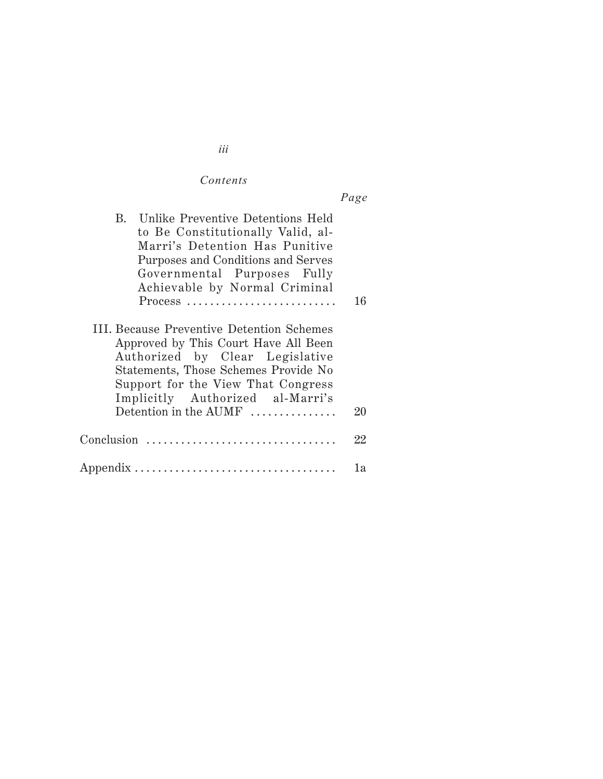## $Contents$

| $a\sigma$<br>υ |
|----------------|
|                |

| B. Unlike Preventive Detentions Held<br>to Be Constitutionally Valid, al-<br>Marri's Detention Has Punitive<br>Purposes and Conditions and Serves<br>Governmental Purposes Fully<br>Achievable by Normal Criminal<br>Process                                    | 16 |
|-----------------------------------------------------------------------------------------------------------------------------------------------------------------------------------------------------------------------------------------------------------------|----|
| III. Because Preventive Detention Schemes<br>Approved by This Court Have All Been<br>Authorized by Clear Legislative<br>Statements, Those Schemes Provide No<br>Support for the View That Congress<br>Implicitly Authorized al-Marri's<br>Detention in the AUMF | 20 |
| $Conclusion$                                                                                                                                                                                                                                                    | 22 |
|                                                                                                                                                                                                                                                                 | lа |

*iii*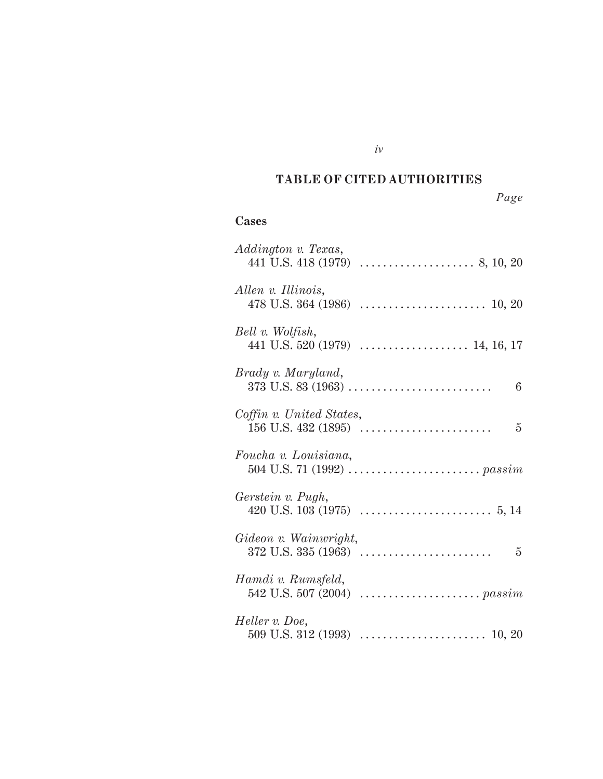#### *Cited Authorities* **TABLE OF CITED AUTHORITIES**

*iv*

# *Page*

## **Cases**

| Addington v. Texas,                   |
|---------------------------------------|
| Allen v. Illinois,                    |
| Bell v. Wolfish,                      |
| Brady v. Maryland,<br>$6\phantom{.}6$ |
| Coffin v. United States,              |
| Foucha v. Louisiana,                  |
| Gerstein v. Pugh,                     |
| Gideon v. Wainwright,                 |
| Hamdi v. Rumsfeld,                    |
| Heller v. Doe,                        |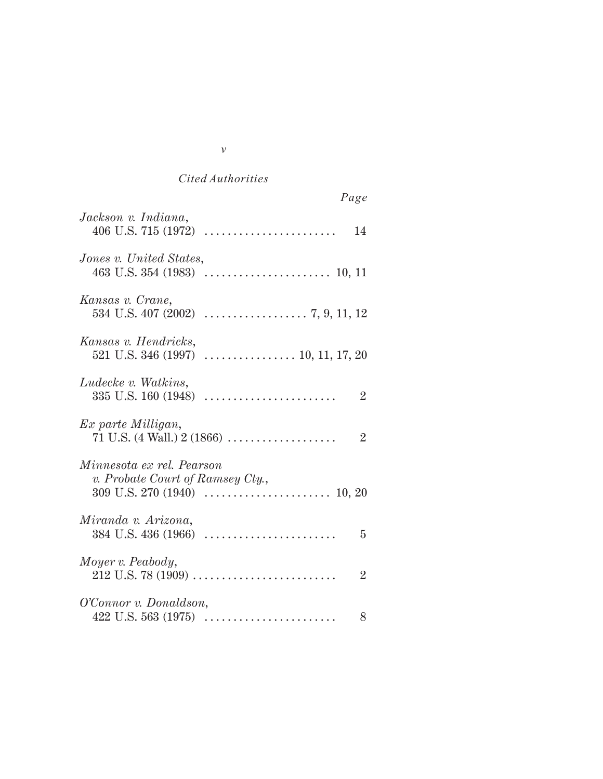| Page                                                                |
|---------------------------------------------------------------------|
| Jackson v. Indiana,<br>14                                           |
| Jones v. United States,                                             |
| Kansas v. Crane,                                                    |
| Kansas v. Hendricks,                                                |
| Ludecke v. Watkins,<br>$\overline{2}$                               |
| Ex parte Milligan,<br>71 U.S. (4 Wall.) $2(1866)$<br>$\overline{2}$ |
| Minnesota ex rel. Pearson<br>v. Probate Court of Ramsey Cty.,       |
| Miranda v. Arizona,<br>5                                            |
| Moyer v. Peabody,<br>$\overline{2}$                                 |
| O'Connor v. Donaldson,<br>8                                         |

| I<br>I<br>٦ | ł<br>i |
|-------------|--------|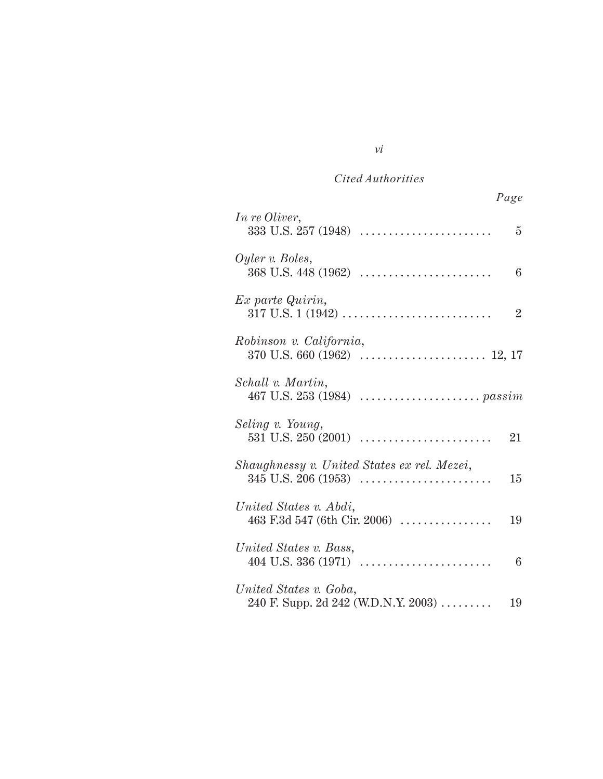| Page                                                                                               |
|----------------------------------------------------------------------------------------------------|
| In re Oliver,<br>$333 \text{ U.S. } 257 \ (1948) \ \ldots \ldots \ldots \ldots \ldots \ldots$<br>5 |
| Oyler v. Boles,<br>6                                                                               |
| Ex parte Quirin,<br>$\overline{2}$                                                                 |
| Robinson v. California,                                                                            |
| Schall v. Martin,                                                                                  |
| Seling v. Young,<br>21                                                                             |
| Shaughnessy v. United States ex rel. Mezei,<br>$345$ U.S. $206$ (1953)<br>15                       |
| United States v. Abdi,<br>463 F.3d 547 (6th Cir. 2006) $\ldots$<br>19                              |
| United States v. Bass,<br>6                                                                        |
| United States v. Goba,<br>240 F. Supp. 2d 242 (W.D.N.Y. 2003)<br>19                                |

## *vi*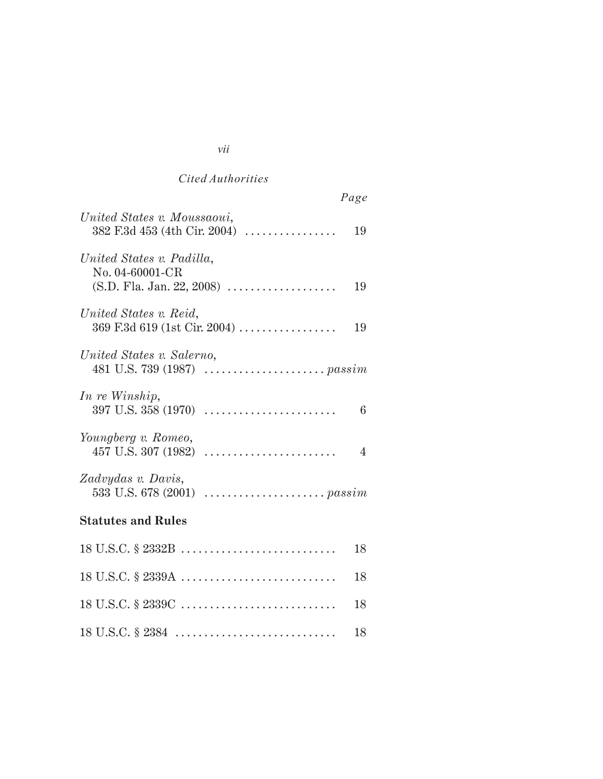| Page                                                                              |
|-----------------------------------------------------------------------------------|
| United States v. Moussaoui,<br>$382$ F.3d $453$ (4th Cir. 2004)<br>19             |
| United States v. Padilla,<br>No. 04-60001-CR<br>$(S.D. Fla. Jan. 22, 2008)$<br>19 |
| United States v. Reid,<br>369 F.3d 619 (1st Cir. 2004)<br>19                      |
| United States v. Salerno,                                                         |
| In re Winship,<br>6                                                               |
| Youngberg v. Romeo,<br>4                                                          |
| Zadvydas v. Davis,                                                                |
| <b>Statutes and Rules</b>                                                         |
| 18                                                                                |
| 18 U.S.C. § 2339A<br>18                                                           |
| 18                                                                                |

18 U.S.C. § 2384 . . . . . . . . . . . . . . . . . . . . . . . . . . . . 18

#### *vii*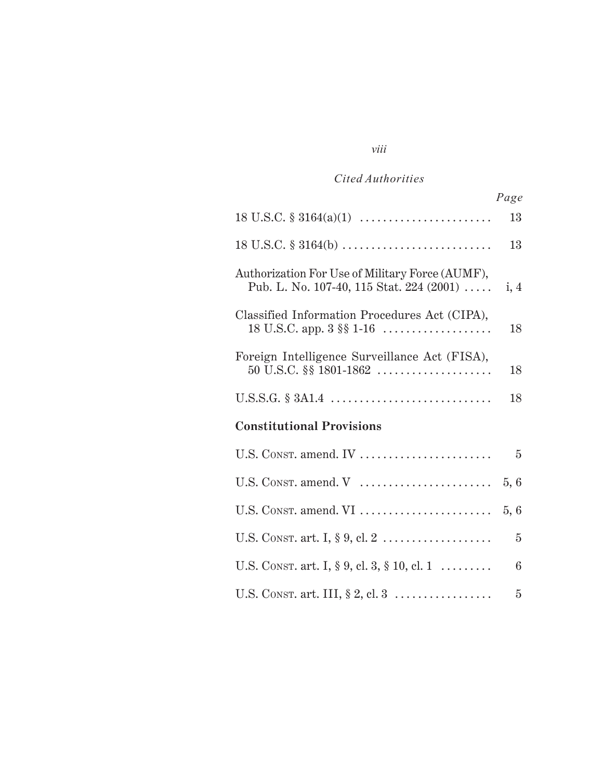*viii*

|                                                                                             | Page           |
|---------------------------------------------------------------------------------------------|----------------|
| $18 \text{ U.S.C. } \S 3164(a)(1) \dots \dots \dots \dots \dots \dots \dots$                | 13             |
|                                                                                             | 13             |
| Authorization For Use of Military Force (AUMF),<br>Pub. L. No. 107-40, 115 Stat. 224 (2001) | i, 4           |
| Classified Information Procedures Act (CIPA),<br>18 U.S.C. app. $3 \S \S 1-16$              | 18             |
| Foreign Intelligence Surveillance Act (FISA),                                               | 18             |
|                                                                                             | 18             |
| <b>Constitutional Provisions</b>                                                            |                |
| U.S. CONST. amend. IV                                                                       | $\overline{5}$ |
| U.S. CONST. amend. V                                                                        | 5, 6           |
| U.S. CONST. amend. VI                                                                       | 5, 6           |
|                                                                                             | $\overline{5}$ |
| U.S. CONST. art. I, § 9, cl. 3, § 10, cl. 1                                                 | 6              |
| U.S. CONST. art. III, $\S 2$ , cl. 3                                                        | $\overline{5}$ |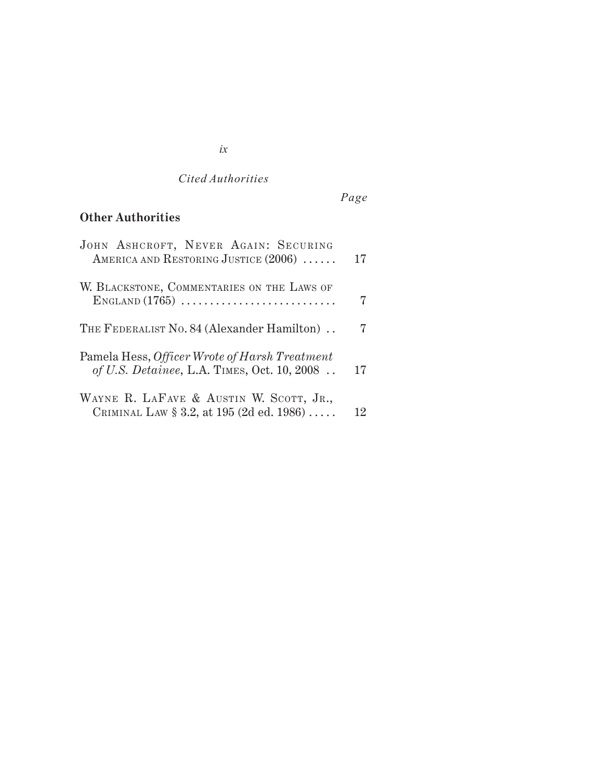# *Page*

## **Other Authorities**

| JOHN ASHCROFT, NEVER AGAIN: SECURING<br>AMERICA AND RESTORING JUSTICE (2006)                 | 17 |
|----------------------------------------------------------------------------------------------|----|
| W. BLACKSTONE, COMMENTARIES ON THE LAWS OF<br>$ENGLAND$ $(1765)$                             |    |
| THE FEDERALIST No. 84 (Alexander Hamilton).                                                  |    |
| Pamela Hess, Officer Wrote of Harsh Treatment<br>of U.S. Detainee, L.A. TIMES, Oct. 10, 2008 | 17 |
| WAYNE R. LAFAVE & AUSTIN W. SCOTT, JR.,<br>CRIMINAL LAW $\S 3.2$ , at 195 (2d ed. 1986)      | 12 |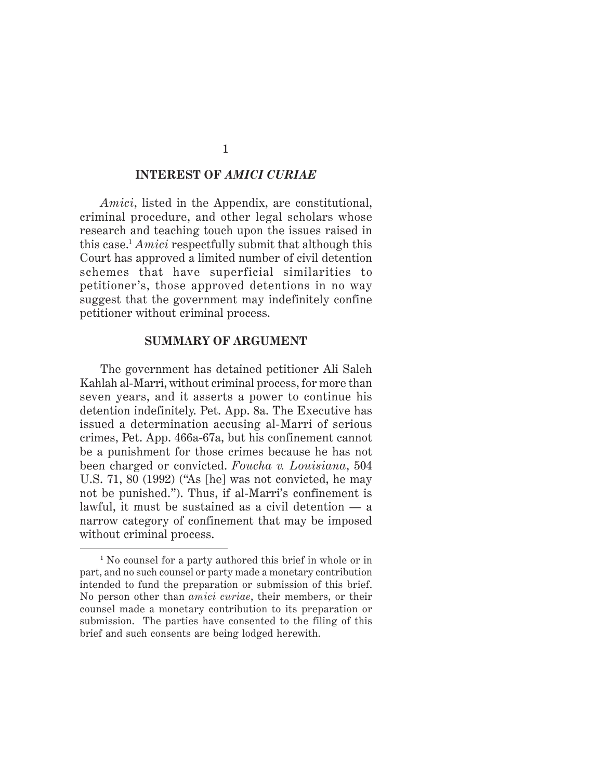#### **INTEREST OF** *AMICI CURIAE*

*Amici*, listed in the Appendix, are constitutional, criminal procedure, and other legal scholars whose research and teaching touch upon the issues raised in this case.1 *Amici* respectfully submit that although this Court has approved a limited number of civil detention schemes that have superficial similarities to petitioner's, those approved detentions in no way suggest that the government may indefinitely confine petitioner without criminal process.

#### **SUMMARY OF ARGUMENT**

The government has detained petitioner Ali Saleh Kahlah al-Marri, without criminal process, for more than seven years, and it asserts a power to continue his detention indefinitely. Pet. App. 8a. The Executive has issued a determination accusing al-Marri of serious crimes, Pet. App. 466a-67a, but his confinement cannot be a punishment for those crimes because he has not been charged or convicted. *Foucha v. Louisiana*, 504 U.S. 71, 80 (1992) ("As [he] was not convicted, he may not be punished."). Thus, if al-Marri's confinement is lawful, it must be sustained as a civil detention — a narrow category of confinement that may be imposed without criminal process.

<sup>&</sup>lt;sup>1</sup> No counsel for a party authored this brief in whole or in part, and no such counsel or party made a monetary contribution intended to fund the preparation or submission of this brief. No person other than *amici curiae*, their members, or their counsel made a monetary contribution to its preparation or submission. The parties have consented to the filing of this brief and such consents are being lodged herewith.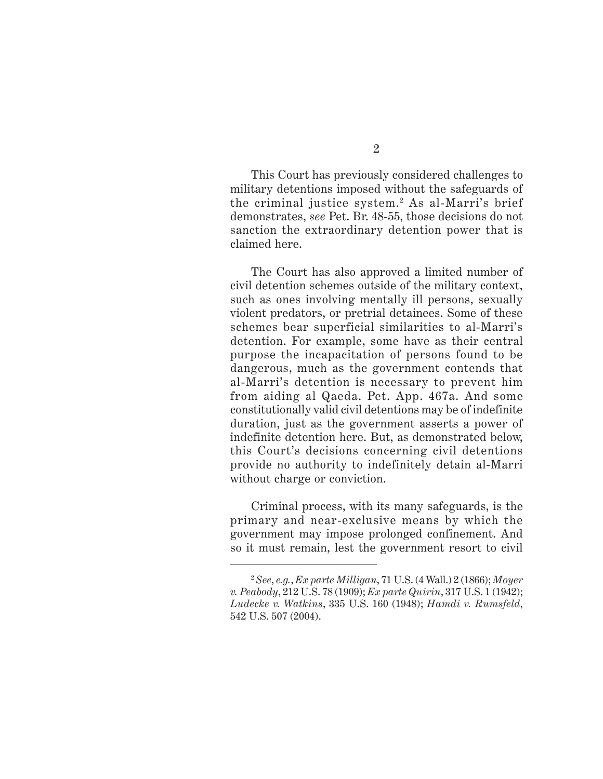This Court has previously considered challenges to

 $\mathcal{P}$ 

military detentions imposed without the safeguards of the criminal justice system.<sup>2</sup> As al-Marri's brief demonstrates, *see* Pet. Br. 48-55, those decisions do not sanction the extraordinary detention power that is claimed here.

The Court has also approved a limited number of civil detention schemes outside of the military context, such as ones involving mentally ill persons, sexually violent predators, or pretrial detainees. Some of these schemes bear superficial similarities to al-Marri's detention. For example, some have as their central purpose the incapacitation of persons found to be dangerous, much as the government contends that al-Marri's detention is necessary to prevent him from aiding al Qaeda. Pet. App. 467a. And some constitutionally valid civil detentions may be of indefinite duration, just as the government asserts a power of indefinite detention here. But, as demonstrated below, this Court's decisions concerning civil detentions provide no authority to indefinitely detain al-Marri without charge or conviction.

Criminal process, with its many safeguards, is the primary and near-exclusive means by which the government may impose prolonged confinement. And so it must remain, lest the government resort to civil

<sup>2</sup> *See*, *e.g.*, *Ex parte Milligan*, 71 U.S. (4 Wall.) 2 (1866); *Moyer v. Peabody*, 212 U.S. 78 (1909); *Ex parte Quirin*, 317 U.S. 1 (1942); *Ludecke v. Watkins*, 335 U.S. 160 (1948); *Hamdi v. Rumsfeld*, 542 U.S. 507 (2004).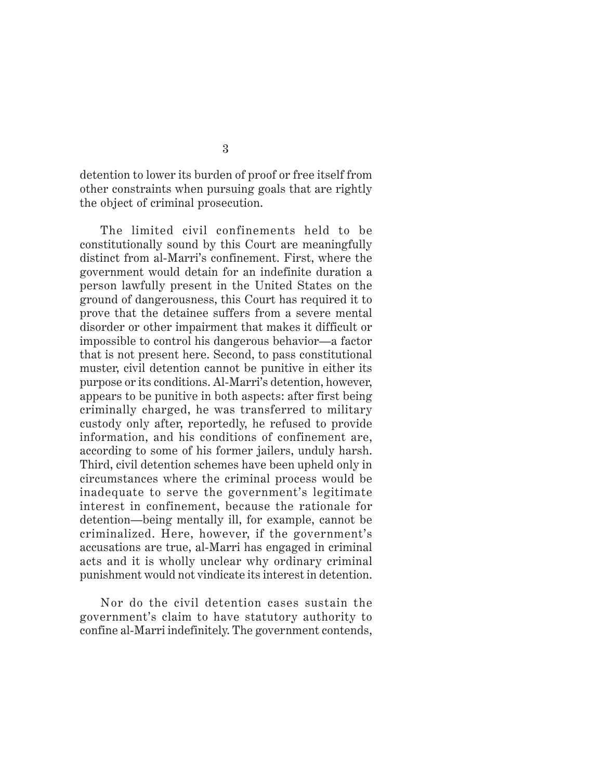detention to lower its burden of proof or free itself from other constraints when pursuing goals that are rightly the object of criminal prosecution.

The limited civil confinements held to be constitutionally sound by this Court are meaningfully distinct from al-Marri's confinement. First, where the government would detain for an indefinite duration a person lawfully present in the United States on the ground of dangerousness, this Court has required it to prove that the detainee suffers from a severe mental disorder or other impairment that makes it difficult or impossible to control his dangerous behavior—a factor that is not present here. Second, to pass constitutional muster, civil detention cannot be punitive in either its purpose or its conditions. Al-Marri's detention, however, appears to be punitive in both aspects: after first being criminally charged, he was transferred to military custody only after, reportedly, he refused to provide information, and his conditions of confinement are, according to some of his former jailers, unduly harsh. Third, civil detention schemes have been upheld only in circumstances where the criminal process would be inadequate to serve the government's legitimate interest in confinement, because the rationale for detention—being mentally ill, for example, cannot be criminalized. Here, however, if the government's accusations are true, al-Marri has engaged in criminal acts and it is wholly unclear why ordinary criminal punishment would not vindicate its interest in detention.

Nor do the civil detention cases sustain the government's claim to have statutory authority to confine al-Marri indefinitely. The government contends,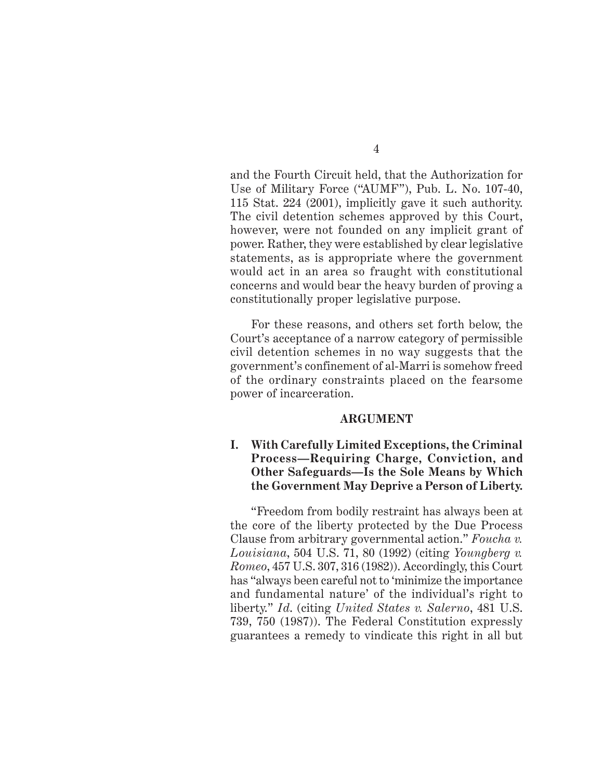and the Fourth Circuit held, that the Authorization for Use of Military Force ("AUMF"), Pub. L. No. 107-40, 115 Stat. 224 (2001), implicitly gave it such authority. The civil detention schemes approved by this Court, however, were not founded on any implicit grant of power. Rather, they were established by clear legislative statements, as is appropriate where the government would act in an area so fraught with constitutional concerns and would bear the heavy burden of proving a constitutionally proper legislative purpose.

For these reasons, and others set forth below, the Court's acceptance of a narrow category of permissible civil detention schemes in no way suggests that the government's confinement of al-Marri is somehow freed of the ordinary constraints placed on the fearsome power of incarceration.

#### **ARGUMENT**

### **I. With Carefully Limited Exceptions, the Criminal Process—Requiring Charge, Conviction, and Other Safeguards—Is the Sole Means by Which the Government May Deprive a Person of Liberty.**

"Freedom from bodily restraint has always been at the core of the liberty protected by the Due Process Clause from arbitrary governmental action." *Foucha v. Louisiana*, 504 U.S. 71, 80 (1992) (citing *Youngberg v. Romeo*, 457 U.S. 307, 316 (1982)). Accordingly, this Court has "always been careful not to 'minimize the importance and fundamental nature' of the individual's right to liberty." *Id*. (citing *United States v. Salerno*, 481 U.S. 739, 750 (1987)). The Federal Constitution expressly guarantees a remedy to vindicate this right in all but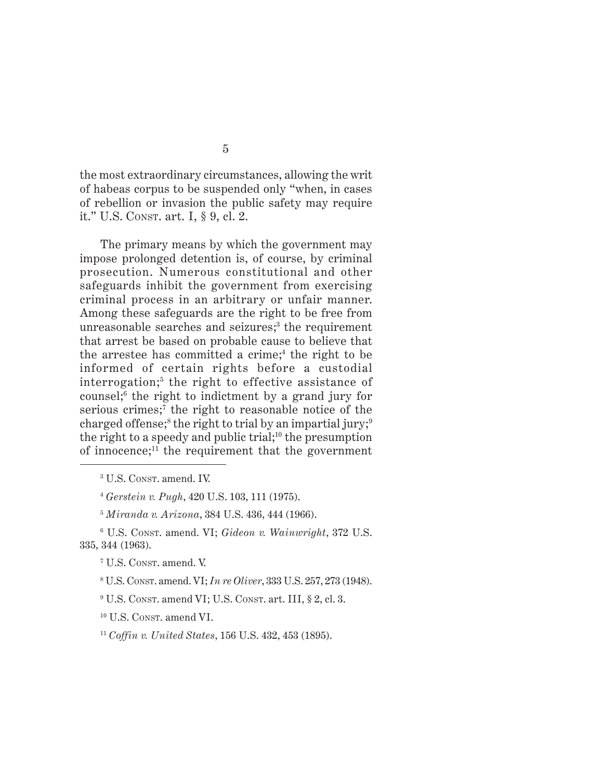the most extraordinary circumstances, allowing the writ of habeas corpus to be suspended only "when, in cases of rebellion or invasion the public safety may require it." U.S. CONST. art. I, § 9, cl. 2.

The primary means by which the government may impose prolonged detention is, of course, by criminal prosecution. Numerous constitutional and other safeguards inhibit the government from exercising criminal process in an arbitrary or unfair manner. Among these safeguards are the right to be free from unreasonable searches and seizures;<sup>3</sup> the requirement that arrest be based on probable cause to believe that the arrestee has committed a crime;<sup>4</sup> the right to be informed of certain rights before a custodial interrogation;5 the right to effective assistance of counsel;6 the right to indictment by a grand jury for serious crimes;<sup>7</sup> the right to reasonable notice of the charged offense; $^{\text{s}}$  the right to trial by an impartial jury; $^{\text{9}}$ the right to a speedy and public trial;<sup>10</sup> the presumption of innocence; $11$  the requirement that the government

6 U.S. CONST. amend. VI; *Gideon v. Wainwright*, 372 U.S. 335, 344 (1963).

7 U.S. CONST. amend. V.

8 U.S. CONST. amend. VI; *In re Oliver*, 333 U.S. 257, 273 (1948).

 $9$  U.S. Const. amend VI; U.S. Const. art. III,  $\S 2$ , cl. 3.

10 U.S. CONST. amend VI.

<sup>11</sup> *Coffin v. United States*, 156 U.S. 432, 453 (1895).

<sup>3</sup> U.S. CONST. amend. IV.

<sup>4</sup> *Gerstein v. Pugh*, 420 U.S. 103, 111 (1975).

<sup>5</sup> *Miranda v. Arizona*, 384 U.S. 436, 444 (1966).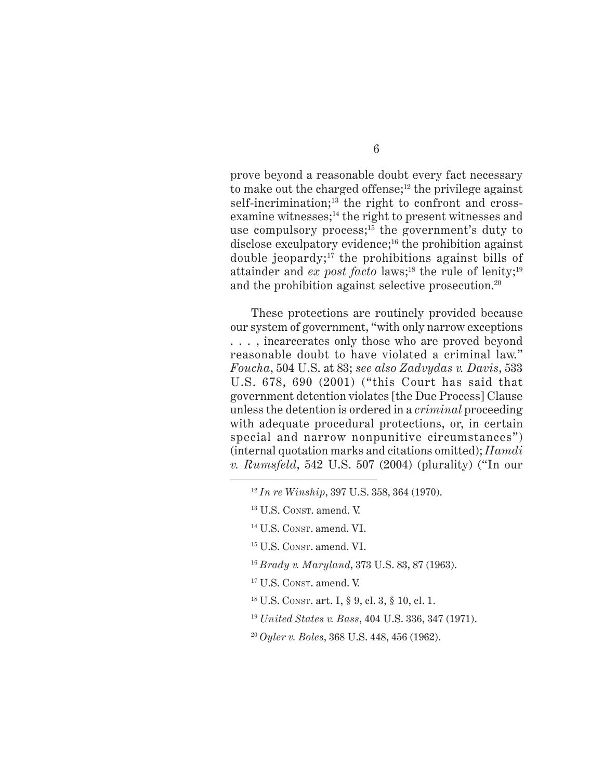prove beyond a reasonable doubt every fact necessary to make out the charged offense; $12$  the privilege against self-incrimination;<sup>13</sup> the right to confront and crossexamine witnesses;<sup>14</sup> the right to present witnesses and use compulsory process;<sup>15</sup> the government's duty to disclose exculpatory evidence; $16$  the prohibition against double jeopardy;<sup>17</sup> the prohibitions against bills of attainder and *ex post facto* laws;<sup>18</sup> the rule of lenity;<sup>19</sup> and the prohibition against selective prosecution.<sup>20</sup>

These protections are routinely provided because our system of government, "with only narrow exceptions . . . , incarcerates only those who are proved beyond reasonable doubt to have violated a criminal law." *Foucha*, 504 U.S. at 83; *see also Zadvydas v. Davis*, 533 U.S. 678, 690 (2001) ("this Court has said that government detention violates [the Due Process] Clause unless the detention is ordered in a *criminal* proceeding with adequate procedural protections, or, in certain special and narrow nonpunitive circumstances") (internal quotation marks and citations omitted); *Hamdi v. Rumsfeld*, 542 U.S. 507 (2004) (plurality) ("In our

<sup>12</sup> *In re Winship*, 397 U.S. 358, 364 (1970).

<sup>13</sup> U.S. CONST. amend. V.

<sup>14</sup> U.S. CONST. amend. VI.

<sup>15</sup> U.S. CONST. amend. VI.

<sup>16</sup> *Brady v. Maryland*, 373 U.S. 83, 87 (1963).

<sup>&</sup>lt;sup>17</sup> U.S. CONST. amend. V.

<sup>18</sup> U.S. CONST. art. I, § 9, cl. 3, § 10, cl. 1.

<sup>19</sup> *United States v. Bass*, 404 U.S. 336, 347 (1971).

<sup>20</sup> *Oyler v. Boles*, 368 U.S. 448, 456 (1962).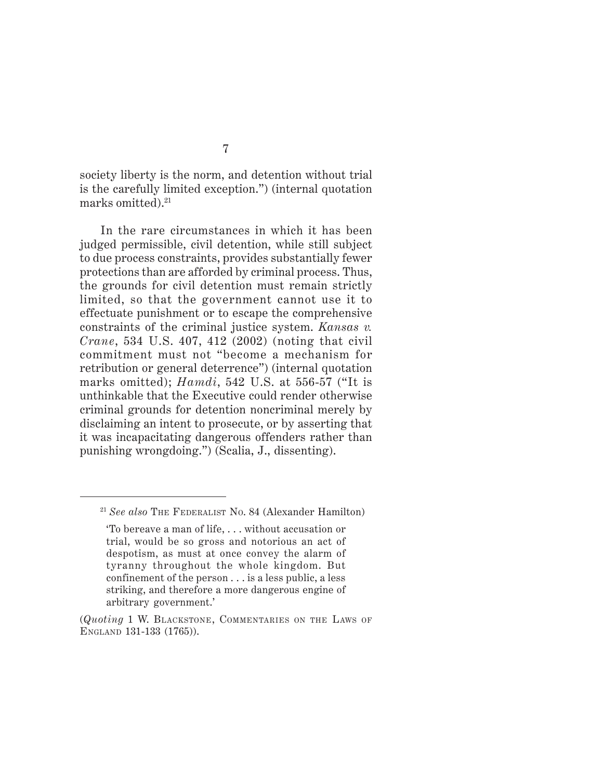society liberty is the norm, and detention without trial is the carefully limited exception.") (internal quotation marks omitted).21

In the rare circumstances in which it has been judged permissible, civil detention, while still subject to due process constraints, provides substantially fewer protections than are afforded by criminal process. Thus, the grounds for civil detention must remain strictly limited, so that the government cannot use it to effectuate punishment or to escape the comprehensive constraints of the criminal justice system. *Kansas v. Crane*, 534 U.S. 407, 412 (2002) (noting that civil commitment must not "become a mechanism for retribution or general deterrence") (internal quotation marks omitted); *Hamdi*, 542 U.S. at 556-57 ("It is unthinkable that the Executive could render otherwise criminal grounds for detention noncriminal merely by disclaiming an intent to prosecute, or by asserting that it was incapacitating dangerous offenders rather than punishing wrongdoing.") (Scalia, J., dissenting).

<sup>21</sup> *See also* THE FEDERALIST NO. 84 (Alexander Hamilton)

<sup>&#</sup>x27;To bereave a man of life, . . . without accusation or trial, would be so gross and notorious an act of despotism, as must at once convey the alarm of tyranny throughout the whole kingdom. But confinement of the person . . . is a less public, a less striking, and therefore a more dangerous engine of arbitrary government.'

<sup>(</sup>*Quoting* 1 W. BLACKSTONE, COMMENTARIES ON THE LAWS OF ENGLAND 131-133 (1765)).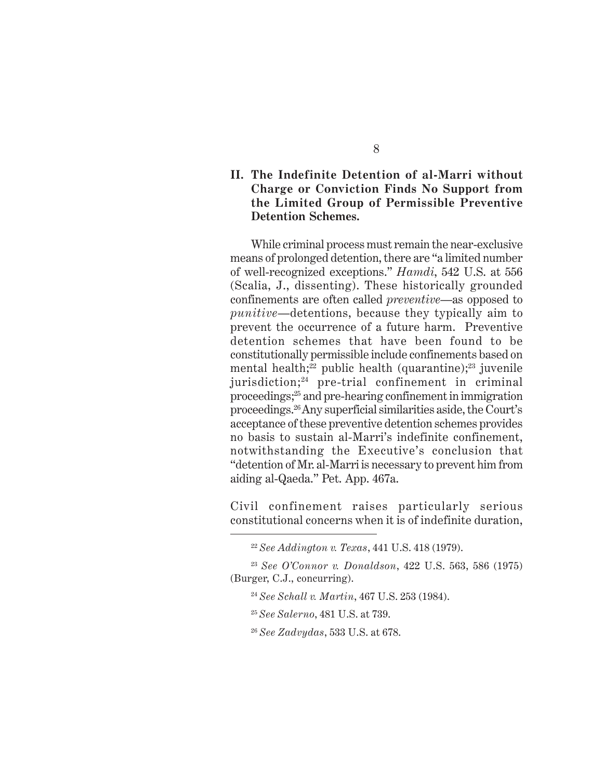## **II. The Indefinite Detention of al-Marri without Charge or Conviction Finds No Support from the Limited Group of Permissible Preventive Detention Schemes.**

While criminal process must remain the near-exclusive means of prolonged detention, there are "a limited number of well-recognized exceptions." *Hamdi*, 542 U.S. at 556 (Scalia, J., dissenting). These historically grounded confinements are often called *preventive*—as opposed to *punitive*—detentions, because they typically aim to prevent the occurrence of a future harm. Preventive detention schemes that have been found to be constitutionally permissible include confinements based on mental health;<sup>22</sup> public health (quarantine);<sup>23</sup> juvenile jurisdiction; $^{24}$  pre-trial confinement in criminal proceedings;25 and pre-hearing confinement in immigration proceedings.26 Any superficial similarities aside, the Court's acceptance of these preventive detention schemes provides no basis to sustain al-Marri's indefinite confinement, notwithstanding the Executive's conclusion that "detention of Mr. al-Marri is necessary to prevent him from aiding al-Qaeda." Pet. App. 467a.

Civil confinement raises particularly serious constitutional concerns when it is of indefinite duration,

<sup>22</sup> *See Addington v. Texas*, 441 U.S. 418 (1979).

<sup>23</sup> *See O'Connor v. Donaldson*, 422 U.S. 563, 586 (1975) (Burger, C.J., concurring).

<sup>24</sup> *See Schall v. Martin*, 467 U.S. 253 (1984).

<sup>25</sup> *See Salerno*, 481 U.S. at 739.

<sup>26</sup> *See Zadvydas*, 533 U.S. at 678.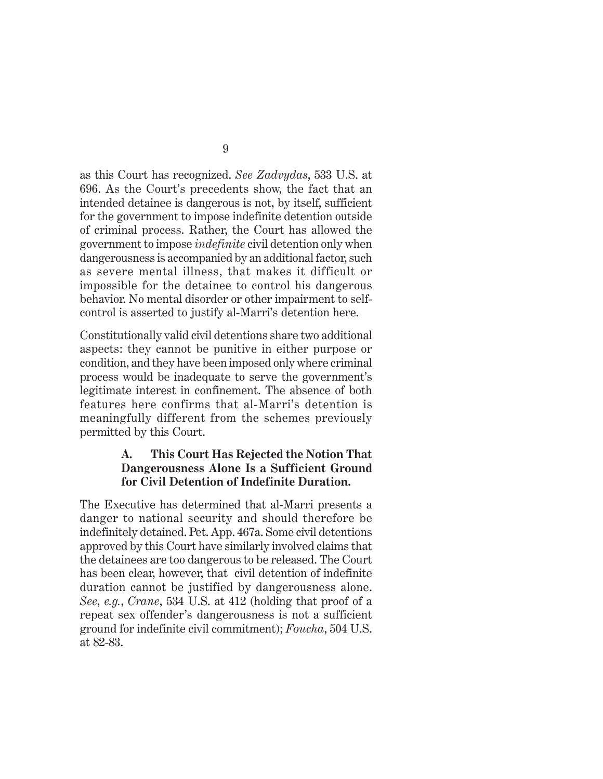as this Court has recognized. *See Zadvydas*, 533 U.S. at 696. As the Court's precedents show, the fact that an intended detainee is dangerous is not, by itself, sufficient for the government to impose indefinite detention outside of criminal process. Rather, the Court has allowed the government to impose *indefinite* civil detention only when dangerousness is accompanied by an additional factor, such as severe mental illness, that makes it difficult or impossible for the detainee to control his dangerous behavior. No mental disorder or other impairment to selfcontrol is asserted to justify al-Marri's detention here.

Constitutionally valid civil detentions share two additional aspects: they cannot be punitive in either purpose or condition, and they have been imposed only where criminal process would be inadequate to serve the government's legitimate interest in confinement. The absence of both features here confirms that al-Marri's detention is meaningfully different from the schemes previously permitted by this Court.

## **A. This Court Has Rejected the Notion That Dangerousness Alone Is a Sufficient Ground for Civil Detention of Indefinite Duration.**

The Executive has determined that al-Marri presents a danger to national security and should therefore be indefinitely detained. Pet. App. 467a. Some civil detentions approved by this Court have similarly involved claims that the detainees are too dangerous to be released. The Court has been clear, however, that civil detention of indefinite duration cannot be justified by dangerousness alone. *See*, *e.g.*, *Crane*, 534 U.S. at 412 (holding that proof of a repeat sex offender's dangerousness is not a sufficient ground for indefinite civil commitment); *Foucha*, 504 U.S. at 82-83.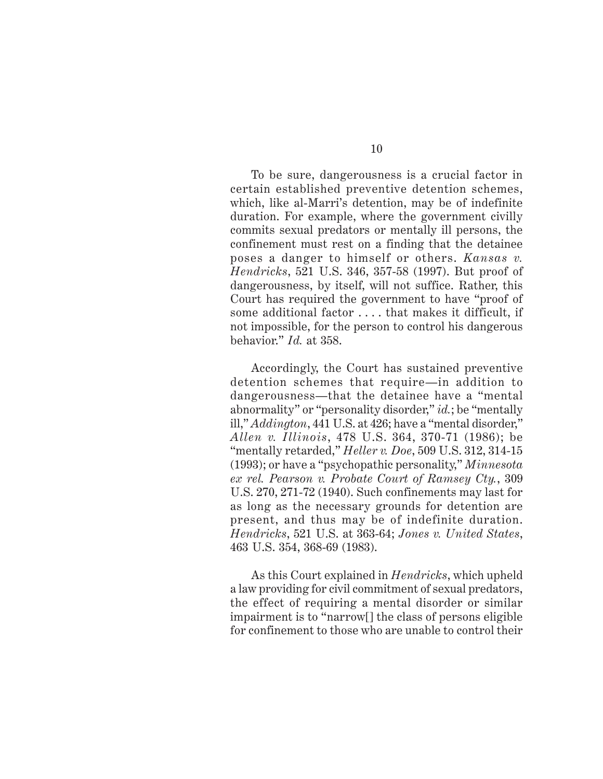To be sure, dangerousness is a crucial factor in certain established preventive detention schemes, which, like al-Marri's detention, may be of indefinite duration. For example, where the government civilly commits sexual predators or mentally ill persons, the confinement must rest on a finding that the detainee poses a danger to himself or others. *Kansas v. Hendricks*, 521 U.S. 346, 357-58 (1997). But proof of dangerousness, by itself, will not suffice. Rather, this Court has required the government to have "proof of some additional factor . . . . that makes it difficult, if not impossible, for the person to control his dangerous behavior." *Id.* at 358.

Accordingly, the Court has sustained preventive detention schemes that require—in addition to dangerousness—that the detainee have a "mental abnormality" or "personality disorder," *id.*; be "mentally ill," *Addington*, 441 U.S. at 426; have a "mental disorder," *Allen v. Illinois*, 478 U.S. 364, 370-71 (1986); be "mentally retarded," *Heller v. Doe*, 509 U.S. 312, 314-15 (1993); or have a "psychopathic personality," *Minnesota ex rel. Pearson v. Probate Court of Ramsey Cty.*, 309 U.S. 270, 271-72 (1940). Such confinements may last for as long as the necessary grounds for detention are present, and thus may be of indefinite duration. *Hendricks*, 521 U.S. at 363-64; *Jones v. United States*, 463 U.S. 354, 368-69 (1983).

As this Court explained in *Hendricks*, which upheld a law providing for civil commitment of sexual predators, the effect of requiring a mental disorder or similar impairment is to "narrow[] the class of persons eligible for confinement to those who are unable to control their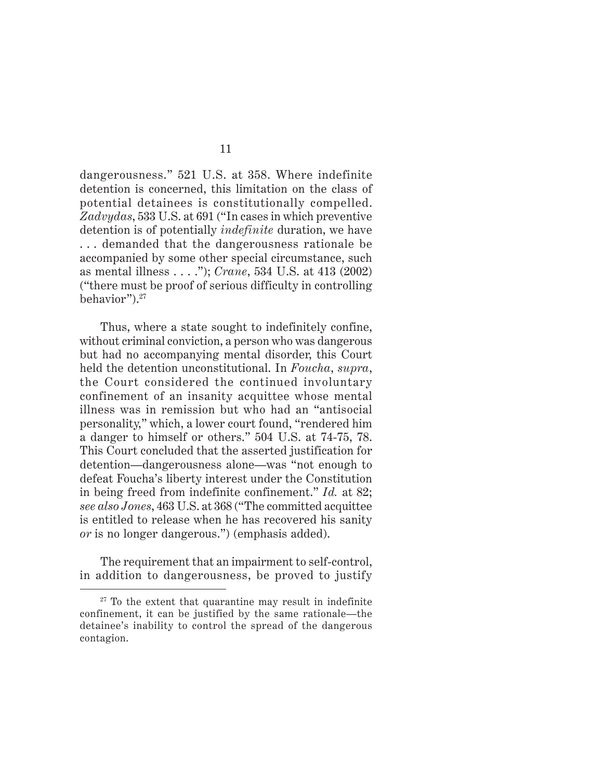dangerousness." 521 U.S. at 358. Where indefinite detention is concerned, this limitation on the class of potential detainees is constitutionally compelled. *Zadvydas*, 533 U.S. at 691 ("In cases in which preventive detention is of potentially *indefinite* duration, we have . . . demanded that the dangerousness rationale be accompanied by some other special circumstance, such as mental illness . . . ."); *Crane*, 534 U.S. at 413 (2002) ("there must be proof of serious difficulty in controlling behavior").27

Thus, where a state sought to indefinitely confine, without criminal conviction, a person who was dangerous but had no accompanying mental disorder, this Court held the detention unconstitutional. In *Foucha*, *supra*, the Court considered the continued involuntary confinement of an insanity acquittee whose mental illness was in remission but who had an "antisocial personality," which, a lower court found, "rendered him a danger to himself or others." 504 U.S. at 74-75, 78. This Court concluded that the asserted justification for detention—dangerousness alone—was "not enough to defeat Foucha's liberty interest under the Constitution in being freed from indefinite confinement." *Id.* at 82; *see also Jones*, 463 U.S. at 368 ("The committed acquittee is entitled to release when he has recovered his sanity *or* is no longer dangerous.") (emphasis added).

The requirement that an impairment to self-control, in addition to dangerousness, be proved to justify

 $27$  To the extent that quarantine may result in indefinite confinement, it can be justified by the same rationale—the detainee's inability to control the spread of the dangerous contagion.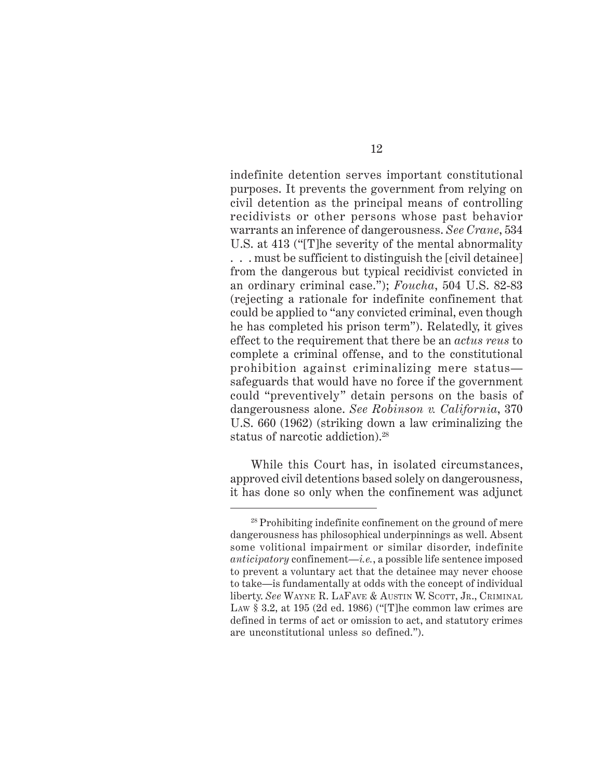indefinite detention serves important constitutional purposes. It prevents the government from relying on civil detention as the principal means of controlling recidivists or other persons whose past behavior warrants an inference of dangerousness. *See Crane*, 534 U.S. at 413 ("[T]he severity of the mental abnormality . . . must be sufficient to distinguish the [civil detainee] from the dangerous but typical recidivist convicted in an ordinary criminal case."); *Foucha*, 504 U.S. 82-83 (rejecting a rationale for indefinite confinement that could be applied to "any convicted criminal, even though he has completed his prison term"). Relatedly, it gives effect to the requirement that there be an *actus reus* to complete a criminal offense, and to the constitutional prohibition against criminalizing mere status safeguards that would have no force if the government could "preventively" detain persons on the basis of dangerousness alone. *See Robinson v. California*, 370 U.S. 660 (1962) (striking down a law criminalizing the status of narcotic addiction).28

While this Court has, in isolated circumstances, approved civil detentions based solely on dangerousness, it has done so only when the confinement was adjunct

<sup>28</sup> Prohibiting indefinite confinement on the ground of mere dangerousness has philosophical underpinnings as well. Absent some volitional impairment or similar disorder, indefinite *anticipatory* confinement—*i.e.*, a possible life sentence imposed to prevent a voluntary act that the detainee may never choose to take—is fundamentally at odds with the concept of individual liberty. *See* WAYNE R. LAFAVE & AUSTIN W. SCOTT, JR., CRIMINAL LAW § 3.2, at 195 (2d ed. 1986) ("[T]he common law crimes are defined in terms of act or omission to act, and statutory crimes are unconstitutional unless so defined.").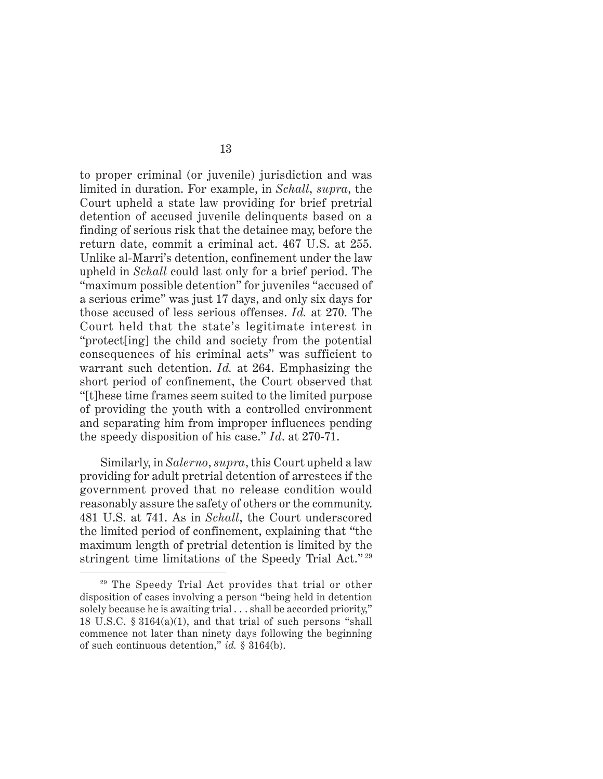to proper criminal (or juvenile) jurisdiction and was limited in duration. For example, in *Schall*, *supra*, the Court upheld a state law providing for brief pretrial detention of accused juvenile delinquents based on a finding of serious risk that the detainee may, before the return date, commit a criminal act. 467 U.S. at 255. Unlike al-Marri's detention, confinement under the law upheld in *Schall* could last only for a brief period. The "maximum possible detention" for juveniles "accused of a serious crime" was just 17 days, and only six days for those accused of less serious offenses. *Id.* at 270. The Court held that the state's legitimate interest in "protect[ing] the child and society from the potential consequences of his criminal acts" was sufficient to warrant such detention. *Id.* at 264. Emphasizing the short period of confinement, the Court observed that "[t]hese time frames seem suited to the limited purpose of providing the youth with a controlled environment and separating him from improper influences pending the speedy disposition of his case." *Id*. at 270-71.

Similarly, in *Salerno*, *supra*, this Court upheld a law providing for adult pretrial detention of arrestees if the government proved that no release condition would reasonably assure the safety of others or the community. 481 U.S. at 741. As in *Schall*, the Court underscored the limited period of confinement, explaining that "the maximum length of pretrial detention is limited by the stringent time limitations of the Speedy Trial Act." <sup>29</sup>

<sup>29</sup> The Speedy Trial Act provides that trial or other disposition of cases involving a person "being held in detention solely because he is awaiting trial . . . shall be accorded priority," 18 U.S.C. § 3164(a)(1), and that trial of such persons "shall commence not later than ninety days following the beginning of such continuous detention," *id.* § 3164(b).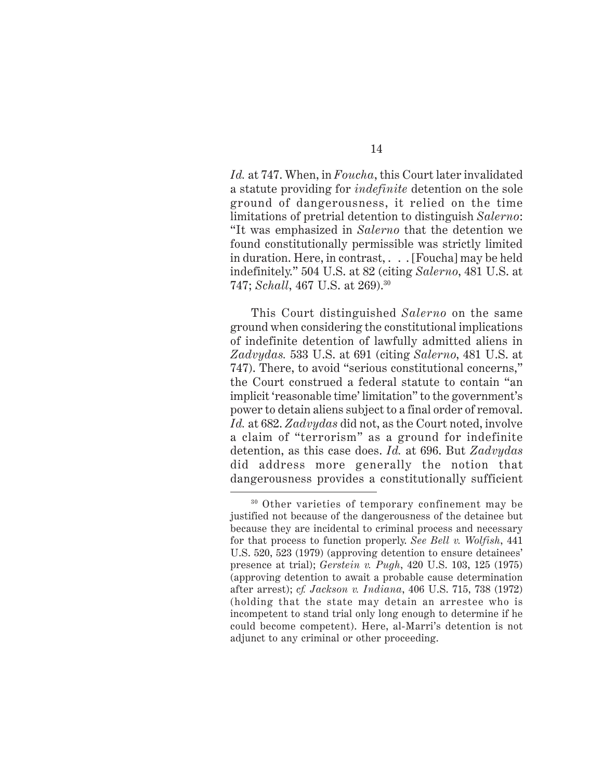*Id.* at 747. When, in *Foucha*, this Court later invalidated a statute providing for *indefinite* detention on the sole ground of dangerousness, it relied on the time limitations of pretrial detention to distinguish *Salerno*: "It was emphasized in *Salerno* that the detention we found constitutionally permissible was strictly limited in duration. Here, in contrast, . . . [Foucha] may be held indefinitely." 504 U.S. at 82 (citing *Salerno*, 481 U.S. at 747; *Schall*, 467 U.S. at 269).30

This Court distinguished *Salerno* on the same ground when considering the constitutional implications of indefinite detention of lawfully admitted aliens in *Zadvydas.* 533 U.S. at 691 (citing *Salerno*, 481 U.S. at 747). There, to avoid "serious constitutional concerns," the Court construed a federal statute to contain "an implicit 'reasonable time' limitation" to the government's power to detain aliens subject to a final order of removal. *Id.* at 682. *Zadvydas* did not, as the Court noted, involve a claim of "terrorism" as a ground for indefinite detention, as this case does. *Id.* at 696. But *Zadvydas* did address more generally the notion that dangerousness provides a constitutionally sufficient

<sup>30</sup> Other varieties of temporary confinement may be justified not because of the dangerousness of the detainee but because they are incidental to criminal process and necessary for that process to function properly. *See Bell v. Wolfish*, 441 U.S. 520, 523 (1979) (approving detention to ensure detainees' presence at trial); *Gerstein v. Pugh*, 420 U.S. 103, 125 (1975) (approving detention to await a probable cause determination after arrest); *cf. Jackson v. Indiana*, 406 U.S. 715, 738 (1972) (holding that the state may detain an arrestee who is incompetent to stand trial only long enough to determine if he could become competent). Here, al-Marri's detention is not adjunct to any criminal or other proceeding.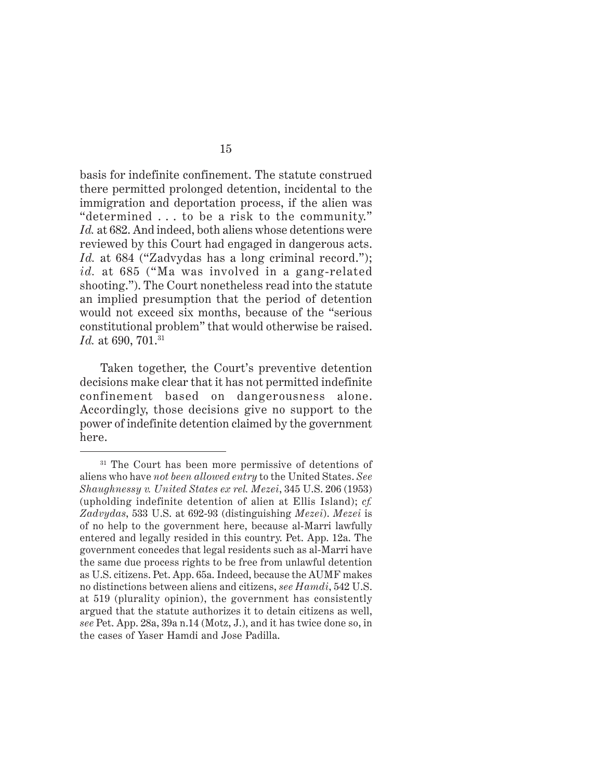basis for indefinite confinement. The statute construed there permitted prolonged detention, incidental to the immigration and deportation process, if the alien was "determined . . . to be a risk to the community." *Id.* at 682. And indeed, both aliens whose detentions were reviewed by this Court had engaged in dangerous acts. *Id.* at 684 ("Zadvydas has a long criminal record."); *id.* at 685 ("Ma was involved in a gang-related shooting."). The Court nonetheless read into the statute an implied presumption that the period of detention would not exceed six months, because of the "serious constitutional problem" that would otherwise be raised. *Id.* at 690, 701.<sup>31</sup>

Taken together, the Court's preventive detention decisions make clear that it has not permitted indefinite confinement based on dangerousness alone. Accordingly, those decisions give no support to the power of indefinite detention claimed by the government here.

<sup>&</sup>lt;sup>31</sup> The Court has been more permissive of detentions of aliens who have *not been allowed entry* to the United States. *See Shaughnessy v. United States ex rel. Mezei*, 345 U.S. 206 (1953) (upholding indefinite detention of alien at Ellis Island); *cf. Zadvydas*, 533 U.S. at 692-93 (distinguishing *Mezei*). *Mezei* is of no help to the government here, because al-Marri lawfully entered and legally resided in this country. Pet. App. 12a. The government concedes that legal residents such as al-Marri have the same due process rights to be free from unlawful detention as U.S. citizens. Pet. App. 65a. Indeed, because the AUMF makes no distinctions between aliens and citizens, *see Hamdi*, 542 U.S. at 519 (plurality opinion), the government has consistently argued that the statute authorizes it to detain citizens as well, *see* Pet. App. 28a, 39a n.14 (Motz, J.), and it has twice done so, in the cases of Yaser Hamdi and Jose Padilla.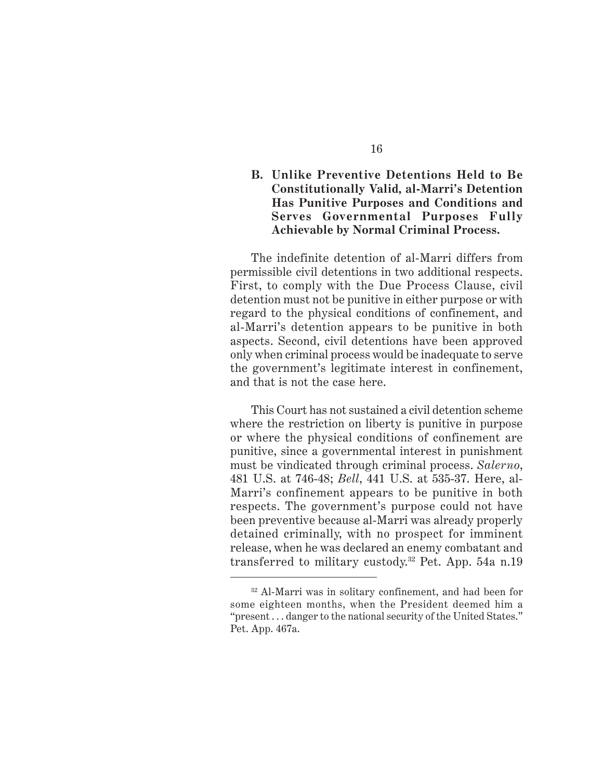## **B. Unlike Preventive Detentions Held to Be Constitutionally Valid, al-Marri's Detention Has Punitive Purposes and Conditions and Serves Governmental Purposes Fully Achievable by Normal Criminal Process.**

The indefinite detention of al-Marri differs from permissible civil detentions in two additional respects. First, to comply with the Due Process Clause, civil detention must not be punitive in either purpose or with regard to the physical conditions of confinement, and al-Marri's detention appears to be punitive in both aspects. Second, civil detentions have been approved only when criminal process would be inadequate to serve the government's legitimate interest in confinement, and that is not the case here.

This Court has not sustained a civil detention scheme where the restriction on liberty is punitive in purpose or where the physical conditions of confinement are punitive, since a governmental interest in punishment must be vindicated through criminal process. *Salerno*, 481 U.S. at 746-48; *Bell*, 441 U.S. at 535-37. Here, al-Marri's confinement appears to be punitive in both respects. The government's purpose could not have been preventive because al-Marri was already properly detained criminally, with no prospect for imminent release, when he was declared an enemy combatant and transferred to military custody.32 Pet. App. 54a n.19

<sup>32</sup> Al-Marri was in solitary confinement, and had been for some eighteen months, when the President deemed him a "present . . . danger to the national security of the United States." Pet. App. 467a.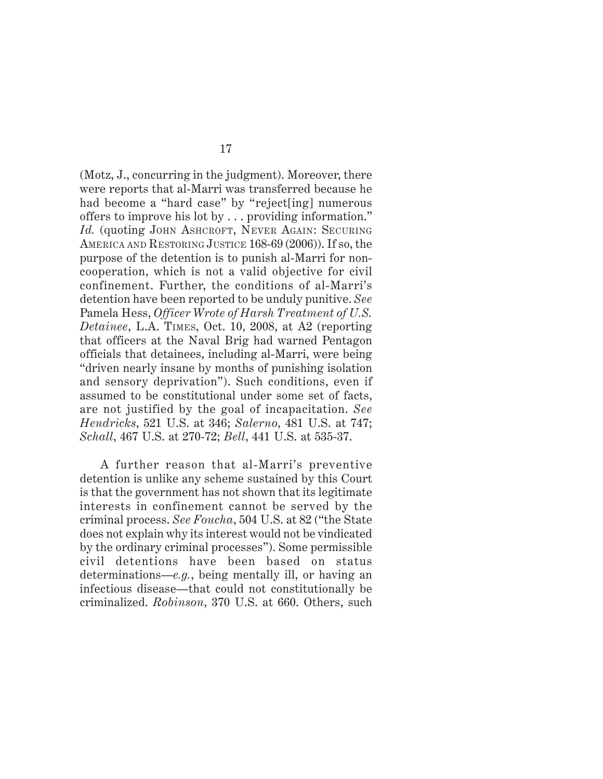(Motz, J., concurring in the judgment). Moreover, there were reports that al-Marri was transferred because he had become a "hard case" by "reject[ing] numerous offers to improve his lot by . . . providing information." Id. (quoting JOHN ASHCROFT, NEVER AGAIN: SECURING AMERICA AND RESTORING JUSTICE 168-69 (2006)). If so, the purpose of the detention is to punish al-Marri for noncooperation, which is not a valid objective for civil confinement. Further, the conditions of al-Marri's detention have been reported to be unduly punitive. *See* Pamela Hess, *Officer Wrote of Harsh Treatment of U.S. Detainee*, L.A. TIMES, Oct. 10, 2008, at A2 (reporting that officers at the Naval Brig had warned Pentagon officials that detainees, including al-Marri, were being "driven nearly insane by months of punishing isolation and sensory deprivation"). Such conditions, even if assumed to be constitutional under some set of facts, are not justified by the goal of incapacitation. *See Hendricks*, 521 U.S. at 346; *Salerno*, 481 U.S. at 747; *Schall*, 467 U.S. at 270-72; *Bell*, 441 U.S. at 535-37.

A further reason that al-Marri's preventive detention is unlike any scheme sustained by this Court is that the government has not shown that its legitimate interests in confinement cannot be served by the criminal process. *See Foucha*, 504 U.S. at 82 ("the State does not explain why its interest would not be vindicated by the ordinary criminal processes"). Some permissible civil detentions have been based on status determinations—*e.g.*, being mentally ill, or having an infectious disease—that could not constitutionally be criminalized. *Robinson*, 370 U.S. at 660. Others, such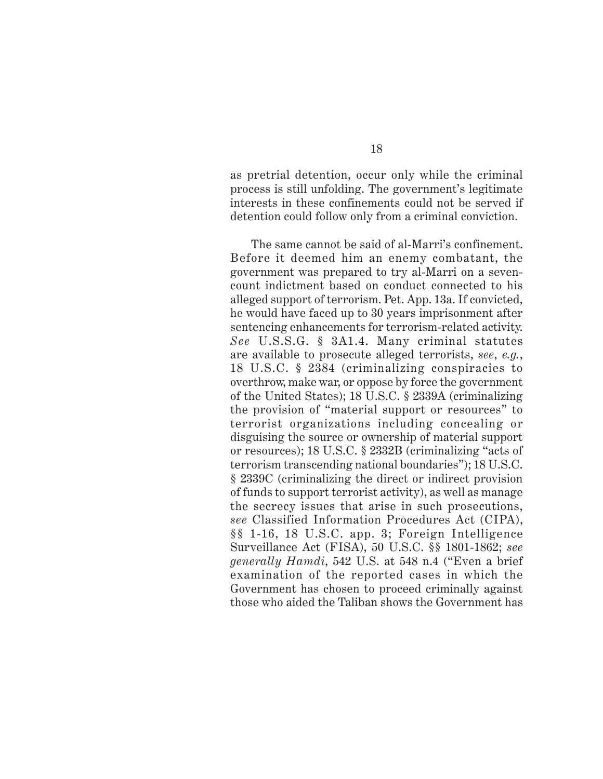as pretrial detention, occur only while the criminal process is still unfolding. The government's legitimate interests in these confinements could not be served if detention could follow only from a criminal conviction.

The same cannot be said of al-Marri's confinement. Before it deemed him an enemy combatant, the government was prepared to try al-Marri on a sevencount indictment based on conduct connected to his alleged support of terrorism. Pet. App. 13a. If convicted, he would have faced up to 30 years imprisonment after sentencing enhancements for terrorism-related activity. *See* U.S.S.G. § 3A1.4. Many criminal statutes are available to prosecute alleged terrorists, *see*, *e.g.*, 18 U.S.C. § 2384 (criminalizing conspiracies to overthrow, make war, or oppose by force the government of the United States); 18 U.S.C. § 2339A (criminalizing the provision of "material support or resources" to terrorist organizations including concealing or disguising the source or ownership of material support or resources); 18 U.S.C. § 2332B (criminalizing "acts of terrorism transcending national boundaries"); 18 U.S.C. § 2339C (criminalizing the direct or indirect provision of funds to support terrorist activity), as well as manage the secrecy issues that arise in such prosecutions, *see* Classified Information Procedures Act (CIPA), §§ 1-16, 18 U.S.C. app. 3; Foreign Intelligence Surveillance Act (FISA), 50 U.S.C. §§ 1801-1862; *see generally Hamdi*, 542 U.S. at 548 n.4 ("Even a brief examination of the reported cases in which the Government has chosen to proceed criminally against those who aided the Taliban shows the Government has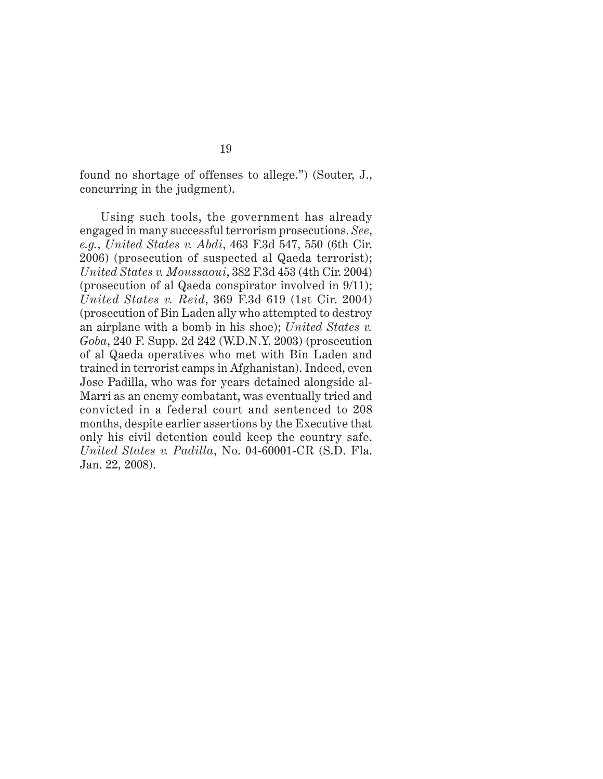found no shortage of offenses to allege.") (Souter, J., concurring in the judgment).

Using such tools, the government has already engaged in many successful terrorism prosecutions. *See*, *e.g.*, *United States v. Abdi*, 463 F.3d 547, 550 (6th Cir. 2006) (prosecution of suspected al Qaeda terrorist); *United States v. Moussaoui*, 382 F.3d 453 (4th Cir. 2004) (prosecution of al Qaeda conspirator involved in 9/11); *United States v. Reid*, 369 F.3d 619 (1st Cir. 2004) (prosecution of Bin Laden ally who attempted to destroy an airplane with a bomb in his shoe); *United States v. Goba*, 240 F. Supp. 2d 242 (W.D.N.Y. 2003) (prosecution of al Qaeda operatives who met with Bin Laden and trained in terrorist camps in Afghanistan). Indeed, even Jose Padilla, who was for years detained alongside al-Marri as an enemy combatant, was eventually tried and convicted in a federal court and sentenced to 208 months, despite earlier assertions by the Executive that only his civil detention could keep the country safe. *United States v. Padilla*, No. 04-60001-CR (S.D. Fla. Jan. 22, 2008).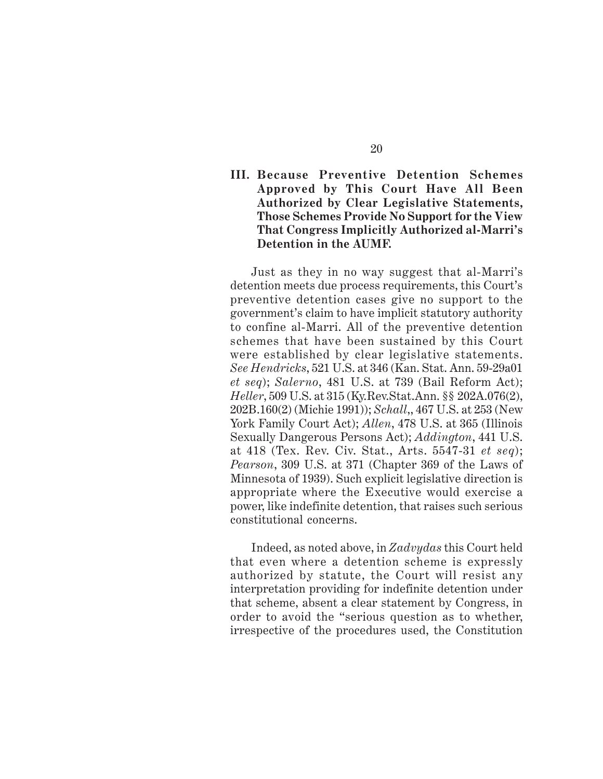### **III. Because Preventive Detention Schemes Approved by This Court Have All Been Authorized by Clear Legislative Statements, Those Schemes Provide No Support for the View That Congress Implicitly Authorized al-Marri's Detention in the AUMF.**

Just as they in no way suggest that al-Marri's detention meets due process requirements, this Court's preventive detention cases give no support to the government's claim to have implicit statutory authority to confine al-Marri. All of the preventive detention schemes that have been sustained by this Court were established by clear legislative statements. *See Hendricks*, 521 U.S. at 346 (Kan. Stat. Ann. 59-29a01 *et seq*); *Salerno*, 481 U.S. at 739 (Bail Reform Act); *Heller*, 509 U.S. at 315 (Ky.Rev.Stat.Ann. §§ 202A.076(2), 202B.160(2) (Michie 1991)); *Schall*,, 467 U.S. at 253 (New York Family Court Act); *Allen*, 478 U.S. at 365 (Illinois Sexually Dangerous Persons Act); *Addington*, 441 U.S. at 418 (Tex. Rev. Civ. Stat., Arts. 5547-31 *et seq*); *Pearson*, 309 U.S. at 371 (Chapter 369 of the Laws of Minnesota of 1939). Such explicit legislative direction is appropriate where the Executive would exercise a power, like indefinite detention, that raises such serious constitutional concerns.

Indeed, as noted above, in *Zadvydas* this Court held that even where a detention scheme is expressly authorized by statute, the Court will resist any interpretation providing for indefinite detention under that scheme, absent a clear statement by Congress, in order to avoid the "serious question as to whether, irrespective of the procedures used, the Constitution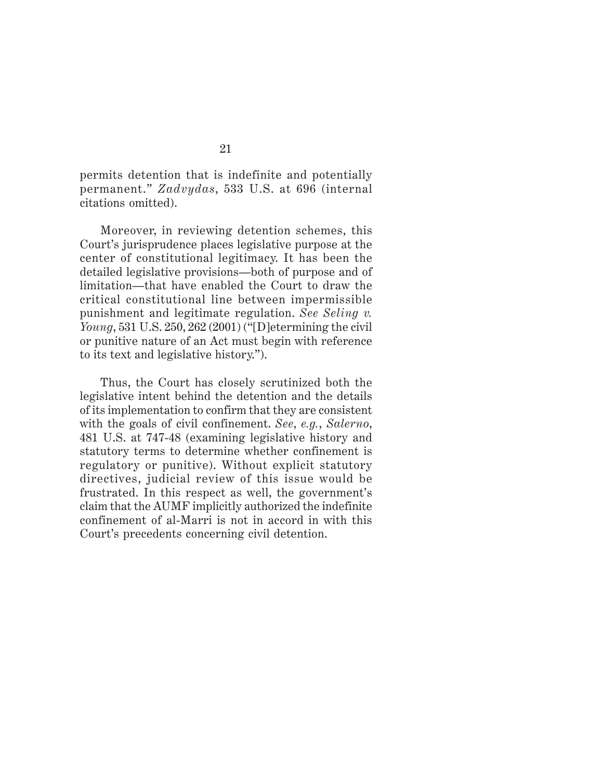permits detention that is indefinite and potentially permanent." *Zadvydas*, 533 U.S. at 696 (internal citations omitted).

Moreover, in reviewing detention schemes, this Court's jurisprudence places legislative purpose at the center of constitutional legitimacy. It has been the detailed legislative provisions—both of purpose and of limitation—that have enabled the Court to draw the critical constitutional line between impermissible punishment and legitimate regulation. *See Seling v. Young*, 531 U.S. 250, 262 (2001) ("[D]etermining the civil or punitive nature of an Act must begin with reference to its text and legislative history.").

Thus, the Court has closely scrutinized both the legislative intent behind the detention and the details of its implementation to confirm that they are consistent with the goals of civil confinement. *See*, *e.g.*, *Salerno*, 481 U.S. at 747-48 (examining legislative history and statutory terms to determine whether confinement is regulatory or punitive). Without explicit statutory directives, judicial review of this issue would be frustrated. In this respect as well, the government's claim that the AUMF implicitly authorized the indefinite confinement of al-Marri is not in accord in with this Court's precedents concerning civil detention.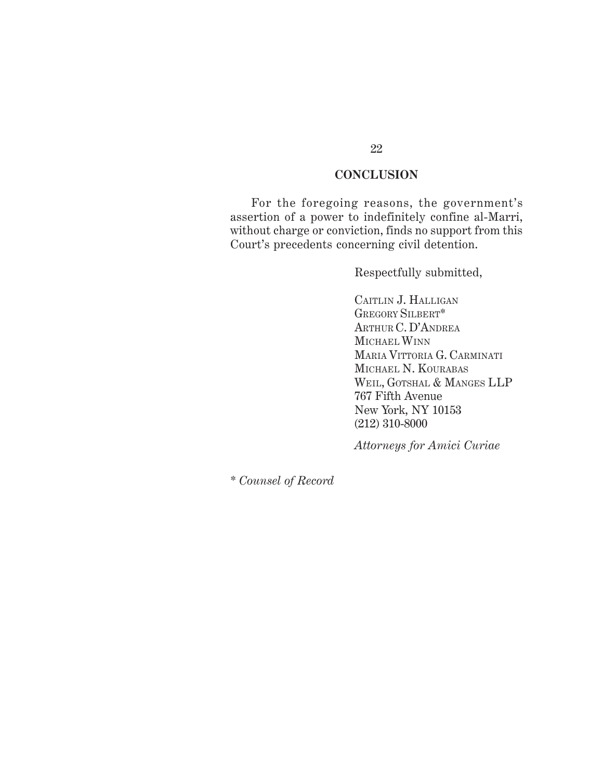## **CONCLUSION**

For the foregoing reasons, the government's assertion of a power to indefinitely confine al-Marri, without charge or conviction, finds no support from this Court's precedents concerning civil detention.

Respectfully submitted,

CAITLIN J. HALLIGAN GREGORY SILBERT\* ARTHUR C. D'ANDREA MICHAEL WINN MARIA VITTORIA G. CARMINATI MICHAEL N. KOURABAS WEIL, GOTSHAL & MANGES LLP 767 Fifth Avenue New York, NY 10153 (212) 310-8000

*Attorneys for Amici Curiae*

\* *Counsel of Record*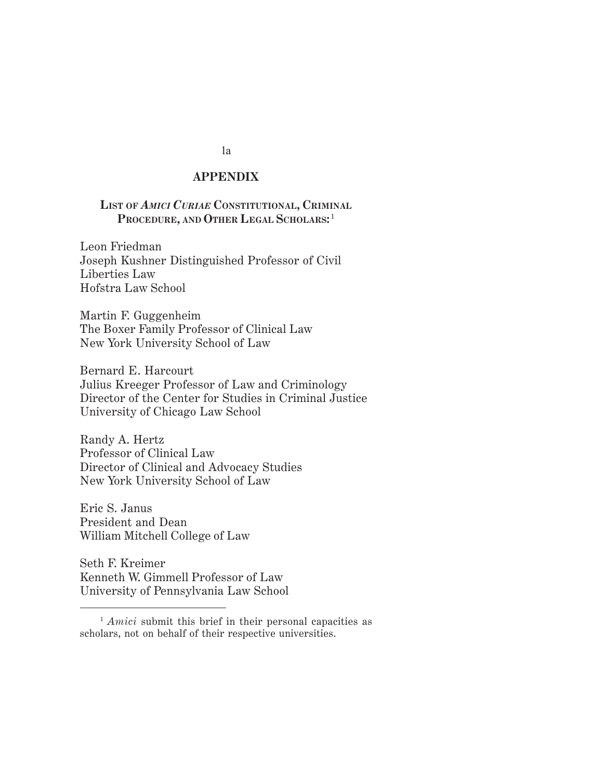#### *Appendix* **APPENDIX**

#### **LIST OF** *AMICI CURIAE* **CONSTITUTIONAL, CRIMINAL** PROCEDURE, AND OTHER LEGAL SCHOLARS:<sup>1</sup>

Leon Friedman Joseph Kushner Distinguished Professor of Civil Liberties Law Hofstra Law School

Martin F. Guggenheim The Boxer Family Professor of Clinical Law New York University School of Law

Bernard E. Harcourt Julius Kreeger Professor of Law and Criminology Director of the Center for Studies in Criminal Justice University of Chicago Law School

Randy A. Hertz Professor of Clinical Law Director of Clinical and Advocacy Studies New York University School of Law

Eric S. Janus President and Dean William Mitchell College of Law

Seth F. Kreimer Kenneth W. Gimmell Professor of Law University of Pennsylvania Law School

1a

<sup>&</sup>lt;sup>1</sup> *Amici* submit this brief in their personal capacities as scholars, not on behalf of their respective universities.